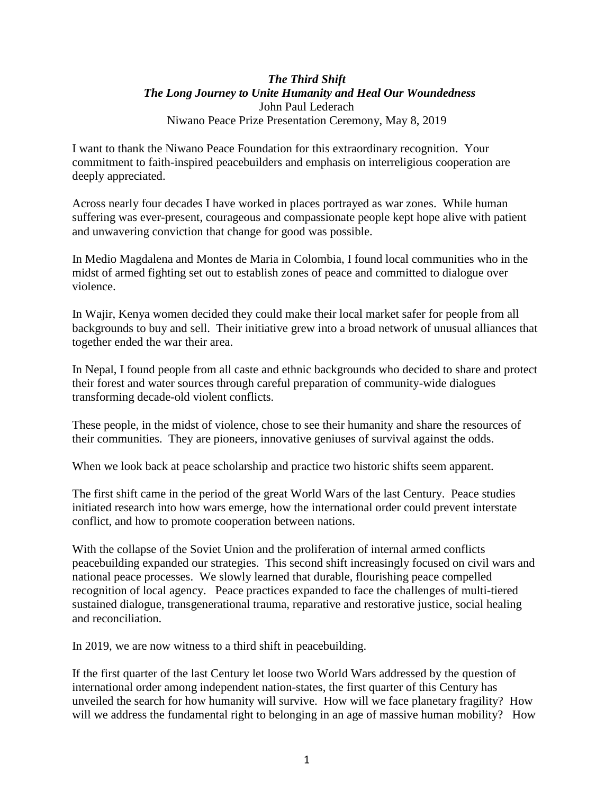# *The Third Shift The Long Journey to Unite Humanity and Heal Our Woundedness* John Paul Lederach Niwano Peace Prize Presentation Ceremony, May 8, 2019

I want to thank the Niwano Peace Foundation for this extraordinary recognition. Your commitment to faith-inspired peacebuilders and emphasis on interreligious cooperation are deeply appreciated.

Across nearly four decades I have worked in places portrayed as war zones. While human suffering was ever-present, courageous and compassionate people kept hope alive with patient and unwavering conviction that change for good was possible.

In Medio Magdalena and Montes de Maria in Colombia, I found local communities who in the midst of armed fighting set out to establish zones of peace and committed to dialogue over violence.

In Wajir, Kenya women decided they could make their local market safer for people from all backgrounds to buy and sell. Their initiative grew into a broad network of unusual alliances that together ended the war their area.

In Nepal, I found people from all caste and ethnic backgrounds who decided to share and protect their forest and water sources through careful preparation of community-wide dialogues transforming decade-old violent conflicts.

These people, in the midst of violence, chose to see their humanity and share the resources of their communities. They are pioneers, innovative geniuses of survival against the odds.

When we look back at peace scholarship and practice two historic shifts seem apparent.

The first shift came in the period of the great World Wars of the last Century. Peace studies initiated research into how wars emerge, how the international order could prevent interstate conflict, and how to promote cooperation between nations.

With the collapse of the Soviet Union and the proliferation of internal armed conflicts peacebuilding expanded our strategies. This second shift increasingly focused on civil wars and national peace processes. We slowly learned that durable, flourishing peace compelled recognition of local agency. Peace practices expanded to face the challenges of multi-tiered sustained dialogue, transgenerational trauma, reparative and restorative justice, social healing and reconciliation.

In 2019, we are now witness to a third shift in peacebuilding.

If the first quarter of the last Century let loose two World Wars addressed by the question of international order among independent nation-states, the first quarter of this Century has unveiled the search for how humanity will survive. How will we face planetary fragility? How will we address the fundamental right to belonging in an age of massive human mobility? How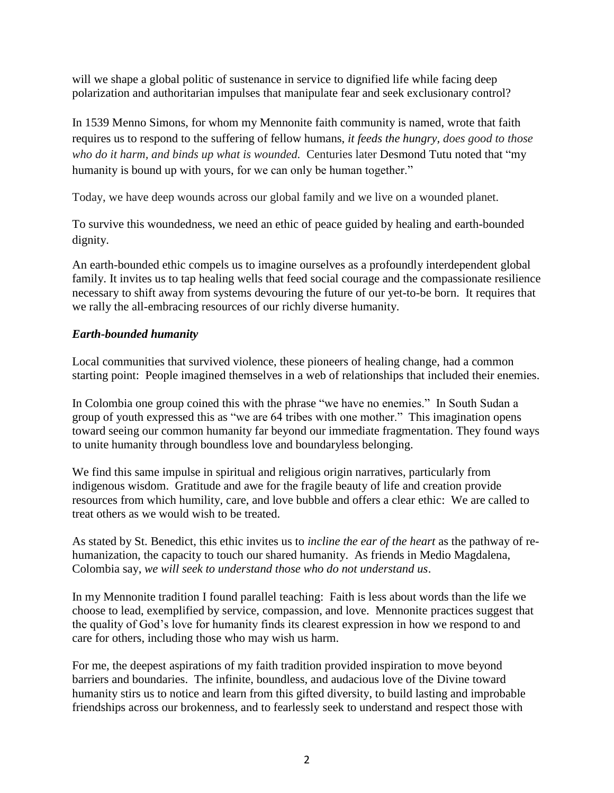will we shape a global politic of sustenance in service to dignified life while facing deep polarization and authoritarian impulses that manipulate fear and seek exclusionary control?

In 1539 Menno Simons, for whom my Mennonite faith community is named, wrote that faith requires us to respond to the suffering of fellow humans, *it feeds the hungry, does good to those who do it harm, and binds up what is wounded.* Centuries later Desmond Tutu noted that "my humanity is bound up with yours, for we can only be human together."

Today, we have deep wounds across our global family and we live on a wounded planet.

To survive this woundedness, we need an ethic of peace guided by healing and earth-bounded dignity.

An earth-bounded ethic compels us to imagine ourselves as a profoundly interdependent global family. It invites us to tap healing wells that feed social courage and the compassionate resilience necessary to shift away from systems devouring the future of our yet-to-be born. It requires that we rally the all-embracing resources of our richly diverse humanity.

# *Earth-bounded humanity*

Local communities that survived violence, these pioneers of healing change, had a common starting point: People imagined themselves in a web of relationships that included their enemies.

In Colombia one group coined this with the phrase "we have no enemies." In South Sudan a group of youth expressed this as "we are 64 tribes with one mother." This imagination opens toward seeing our common humanity far beyond our immediate fragmentation. They found ways to unite humanity through boundless love and boundaryless belonging.

We find this same impulse in spiritual and religious origin narratives, particularly from indigenous wisdom. Gratitude and awe for the fragile beauty of life and creation provide resources from which humility, care, and love bubble and offers a clear ethic: We are called to treat others as we would wish to be treated.

As stated by St. Benedict, this ethic invites us to *incline the ear of the heart* as the pathway of rehumanization, the capacity to touch our shared humanity. As friends in Medio Magdalena, Colombia say, *we will seek to understand those who do not understand us*.

In my Mennonite tradition I found parallel teaching: Faith is less about words than the life we choose to lead, exemplified by service, compassion, and love. Mennonite practices suggest that the quality of God's love for humanity finds its clearest expression in how we respond to and care for others, including those who may wish us harm.

For me, the deepest aspirations of my faith tradition provided inspiration to move beyond barriers and boundaries. The infinite, boundless, and audacious love of the Divine toward humanity stirs us to notice and learn from this gifted diversity, to build lasting and improbable friendships across our brokenness, and to fearlessly seek to understand and respect those with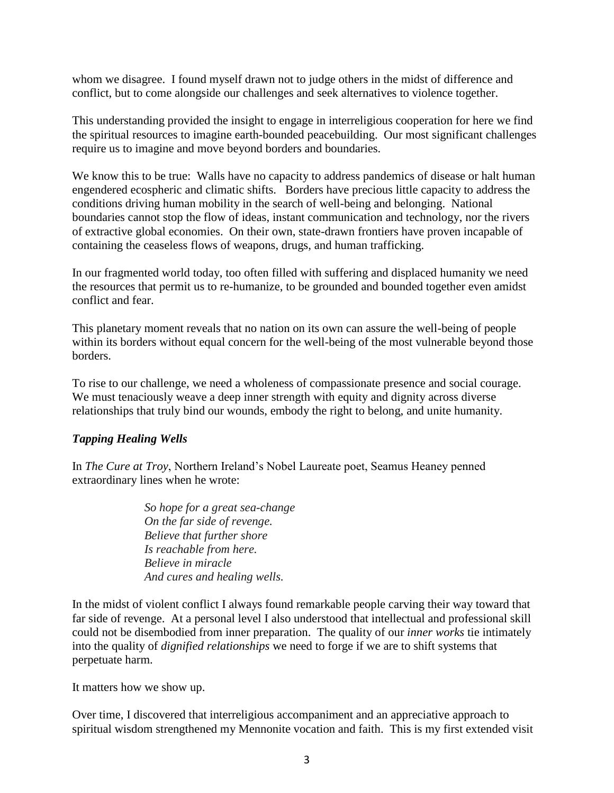whom we disagree. I found myself drawn not to judge others in the midst of difference and conflict, but to come alongside our challenges and seek alternatives to violence together.

This understanding provided the insight to engage in interreligious cooperation for here we find the spiritual resources to imagine earth-bounded peacebuilding. Our most significant challenges require us to imagine and move beyond borders and boundaries.

We know this to be true: Walls have no capacity to address pandemics of disease or halt human engendered ecospheric and climatic shifts. Borders have precious little capacity to address the conditions driving human mobility in the search of well-being and belonging. National boundaries cannot stop the flow of ideas, instant communication and technology, nor the rivers of extractive global economies. On their own, state-drawn frontiers have proven incapable of containing the ceaseless flows of weapons, drugs, and human trafficking.

In our fragmented world today, too often filled with suffering and displaced humanity we need the resources that permit us to re-humanize, to be grounded and bounded together even amidst conflict and fear.

This planetary moment reveals that no nation on its own can assure the well-being of people within its borders without equal concern for the well-being of the most vulnerable beyond those borders.

To rise to our challenge, we need a wholeness of compassionate presence and social courage. We must tenaciously weave a deep inner strength with equity and dignity across diverse relationships that truly bind our wounds, embody the right to belong, and unite humanity.

# *Tapping Healing Wells*

In *The Cure at Troy*, Northern Ireland's Nobel Laureate poet, Seamus Heaney penned extraordinary lines when he wrote:

> *So hope for a great sea-change On the far side of revenge. Believe that further shore Is reachable from here. Believe in miracle And cures and healing wells.*

In the midst of violent conflict I always found remarkable people carving their way toward that far side of revenge. At a personal level I also understood that intellectual and professional skill could not be disembodied from inner preparation. The quality of our *inner works* tie intimately into the quality of *dignified relationships* we need to forge if we are to shift systems that perpetuate harm.

It matters how we show up.

Over time, I discovered that interreligious accompaniment and an appreciative approach to spiritual wisdom strengthened my Mennonite vocation and faith. This is my first extended visit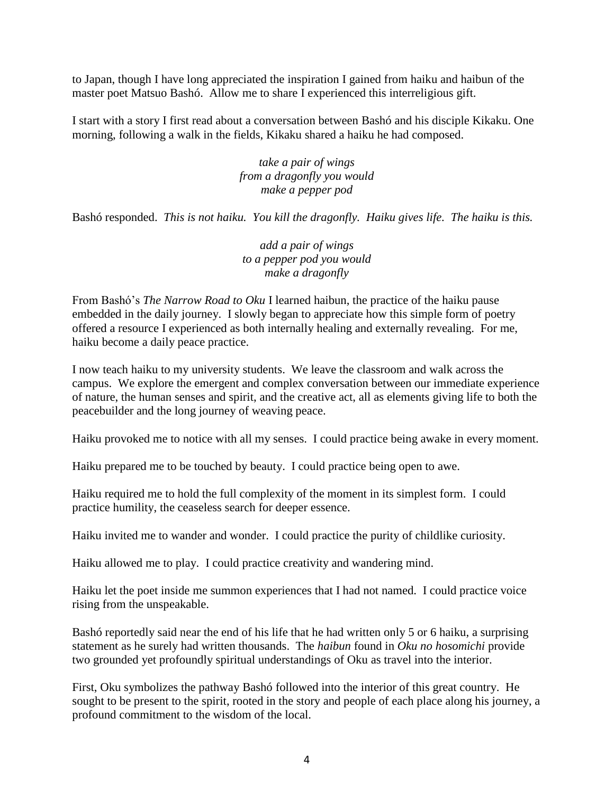to Japan, though I have long appreciated the inspiration I gained from haiku and haibun of the master poet Matsuo Bashó. Allow me to share I experienced this interreligious gift.

I start with a story I first read about a conversation between Bashó and his disciple Kikaku. One morning, following a walk in the fields, Kikaku shared a haiku he had composed.

> *take a pair of wings from a dragonfly you would make a pepper pod*

Bashó responded. *This is not haiku. You kill the dragonfly. Haiku gives life. The haiku is this.*

*add a pair of wings to a pepper pod you would make a dragonfly*

From Bashó's *The Narrow Road to Oku* I learned haibun, the practice of the haiku pause embedded in the daily journey. I slowly began to appreciate how this simple form of poetry offered a resource I experienced as both internally healing and externally revealing. For me, haiku become a daily peace practice.

I now teach haiku to my university students. We leave the classroom and walk across the campus. We explore the emergent and complex conversation between our immediate experience of nature, the human senses and spirit, and the creative act, all as elements giving life to both the peacebuilder and the long journey of weaving peace.

Haiku provoked me to notice with all my senses. I could practice being awake in every moment.

Haiku prepared me to be touched by beauty. I could practice being open to awe.

Haiku required me to hold the full complexity of the moment in its simplest form. I could practice humility, the ceaseless search for deeper essence.

Haiku invited me to wander and wonder. I could practice the purity of childlike curiosity.

Haiku allowed me to play. I could practice creativity and wandering mind.

Haiku let the poet inside me summon experiences that I had not named. I could practice voice rising from the unspeakable.

Bashó reportedly said near the end of his life that he had written only 5 or 6 haiku, a surprising statement as he surely had written thousands. The *haibun* found in *Oku no hosomichi* provide two grounded yet profoundly spiritual understandings of Oku as travel into the interior.

First, Oku symbolizes the pathway Bashó followed into the interior of this great country. He sought to be present to the spirit, rooted in the story and people of each place along his journey, a profound commitment to the wisdom of the local.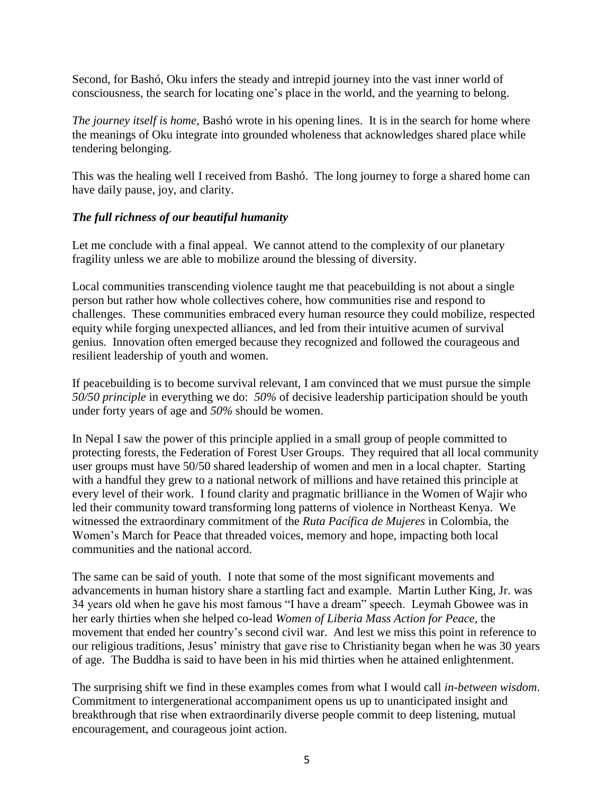Second, for Bashó, Oku infers the steady and intrepid journey into the vast inner world of consciousness, the search for locating one's place in the world, and the yearning to belong.

*The journey itself is home,* Bashó wrote in his opening lines. It is in the search for home where the meanings of Oku integrate into grounded wholeness that acknowledges shared place while tendering belonging.

This was the healing well I received from Bashó. The long journey to forge a shared home can have daily pause, joy, and clarity.

# *The full richness of our beautiful humanity*

Let me conclude with a final appeal. We cannot attend to the complexity of our planetary fragility unless we are able to mobilize around the blessing of diversity.

Local communities transcending violence taught me that peacebuilding is not about a single person but rather how whole collectives cohere, how communities rise and respond to challenges. These communities embraced every human resource they could mobilize, respected equity while forging unexpected alliances, and led from their intuitive acumen of survival genius. Innovation often emerged because they recognized and followed the courageous and resilient leadership of youth and women.

If peacebuilding is to become survival relevant, I am convinced that we must pursue the simple *50/50 principle* in everything we do: *50%* of decisive leadership participation should be youth under forty years of age and *50%* should be women.

In Nepal I saw the power of this principle applied in a small group of people committed to protecting forests, the Federation of Forest User Groups. They required that all local community user groups must have 50/50 shared leadership of women and men in a local chapter. Starting with a handful they grew to a national network of millions and have retained this principle at every level of their work. I found clarity and pragmatic brilliance in the Women of Wajir who led their community toward transforming long patterns of violence in Northeast Kenya. We witnessed the extraordinary commitment of the *Ruta Pacífica de Mujeres* in Colombia, the Women's March for Peace that threaded voices, memory and hope, impacting both local communities and the national accord.

The same can be said of youth. I note that some of the most significant movements and advancements in human history share a startling fact and example. Martin Luther King, Jr. was 34 years old when he gave his most famous "I have a dream" speech. Leymah Gbowee was in her early thirties when she helped co-lead *Women of Liberia Mass Action for Peace,* the movement that ended her country's second civil war. And lest we miss this point in reference to our religious traditions, Jesus' ministry that gave rise to Christianity began when he was 30 years of age. The Buddha is said to have been in his mid thirties when he attained enlightenment.

The surprising shift we find in these examples comes from what I would call *in-between wisdom*. Commitment to intergenerational accompaniment opens us up to unanticipated insight and breakthrough that rise when extraordinarily diverse people commit to deep listening, mutual encouragement, and courageous joint action.